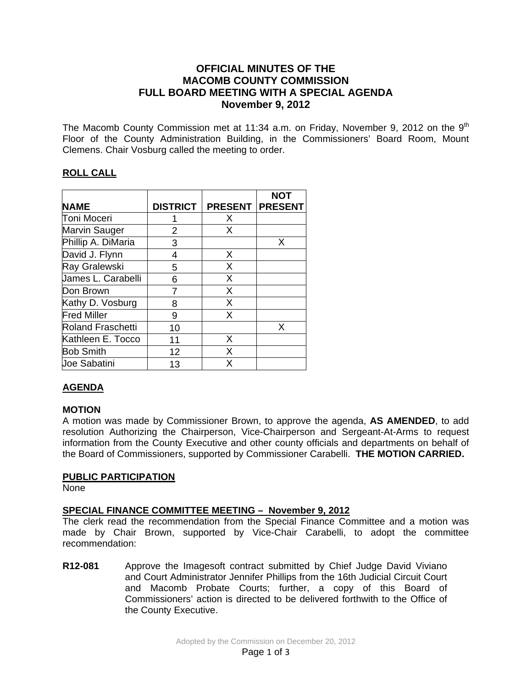## **OFFICIAL MINUTES OF THE MACOMB COUNTY COMMISSION FULL BOARD MEETING WITH A SPECIAL AGENDA November 9, 2012**

The Macomb County Commission met at 11:34 a.m. on Friday, November 9, 2012 on the  $9<sup>th</sup>$ Floor of the County Administration Building, in the Commissioners' Board Room, Mount Clemens. Chair Vosburg called the meeting to order.

## **ROLL CALL**

|                     |                 |                | <b>NOT</b>     |
|---------------------|-----------------|----------------|----------------|
| <b>NAME</b>         | <b>DISTRICT</b> | <b>PRESENT</b> | <b>PRESENT</b> |
| Toni Moceri         |                 | X              |                |
| Marvin Sauger       | 2               | X              |                |
| Phillip A. DiMaria  | 3               |                | X              |
| David J. Flynn      | 4               | X              |                |
| Ray Gralewski       | 5               | X              |                |
| James L. Carabelli  | 6               | X              |                |
| Don Brown           |                 | X              |                |
| Kathy D. Vosburg    | 8               | X              |                |
| <b>Fred Miller</b>  | 9               | X              |                |
| Roland Fraschetti   | 10              |                | X              |
| Kathleen E. Tocco   | 11              | X              |                |
| <b>Bob Smith</b>    | 12              | X              |                |
| <b>Joe Sabatini</b> | 13              | X              |                |

# **AGENDA**

### **MOTION**

A motion was made by Commissioner Brown, to approve the agenda, **AS AMENDED**, to add resolution Authorizing the Chairperson, Vice-Chairperson and Sergeant-At-Arms to request information from the County Executive and other county officials and departments on behalf of the Board of Commissioners, supported by Commissioner Carabelli. **THE MOTION CARRIED.** 

### **PUBLIC PARTICIPATION**

None

### **SPECIAL FINANCE COMMITTEE MEETING – November 9, 2012**

The clerk read the recommendation from the Special Finance Committee and a motion was made by Chair Brown, supported by Vice-Chair Carabelli, to adopt the committee recommendation:

**R12-081** Approve the Imagesoft contract submitted by Chief Judge David Viviano and Court Administrator Jennifer Phillips from the 16th Judicial Circuit Court and Macomb Probate Courts; further, a copy of this Board of Commissioners' action is directed to be delivered forthwith to the Office of the County Executive.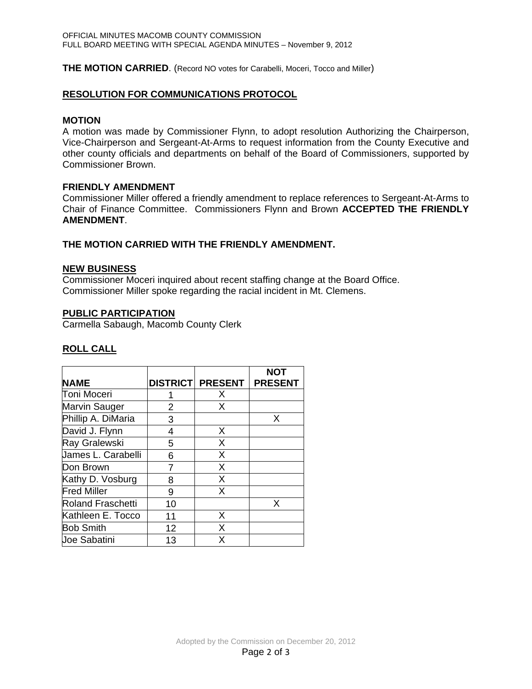**THE MOTION CARRIED**. (Record NO votes for Carabelli, Moceri, Tocco and Miller)

#### **RESOLUTION FOR COMMUNICATIONS PROTOCOL**

#### **MOTION**

A motion was made by Commissioner Flynn, to adopt resolution Authorizing the Chairperson, Vice-Chairperson and Sergeant-At-Arms to request information from the County Executive and other county officials and departments on behalf of the Board of Commissioners, supported by Commissioner Brown.

#### **FRIENDLY AMENDMENT**

Commissioner Miller offered a friendly amendment to replace references to Sergeant-At-Arms to Chair of Finance Committee. Commissioners Flynn and Brown **ACCEPTED THE FRIENDLY AMENDMENT**.

### **THE MOTION CARRIED WITH THE FRIENDLY AMENDMENT.**

#### **NEW BUSINESS**

Commissioner Moceri inquired about recent staffing change at the Board Office. Commissioner Miller spoke regarding the racial incident in Mt. Clemens.

#### **PUBLIC PARTICIPATION**

Carmella Sabaugh, Macomb County Clerk

|                      |    |                         | <b>NOT</b>     |
|----------------------|----|-------------------------|----------------|
| <b>NAME</b>          |    | <b>DISTRICT PRESENT</b> | <b>PRESENT</b> |
| Toni Moceri          |    | X                       |                |
| <b>Marvin Sauger</b> | 2  | x                       |                |
| Phillip A. DiMaria   | 3  |                         | X              |
| David J. Flynn       | 4  | X                       |                |
| Ray Gralewski        | 5  | X                       |                |
| James L. Carabelli   | 6  | Х                       |                |
| Don Brown            | 7  | X                       |                |
| Kathy D. Vosburg     | 8  | X                       |                |
| <b>Fred Miller</b>   | 9  | X                       |                |
| Roland Fraschetti    | 10 |                         | X              |
| Kathleen E. Tocco    | 11 | X                       |                |
| <b>Bob Smith</b>     | 12 | X                       |                |
| <b>Joe Sabatini</b>  | 13 | x                       |                |

### **ROLL CALL**